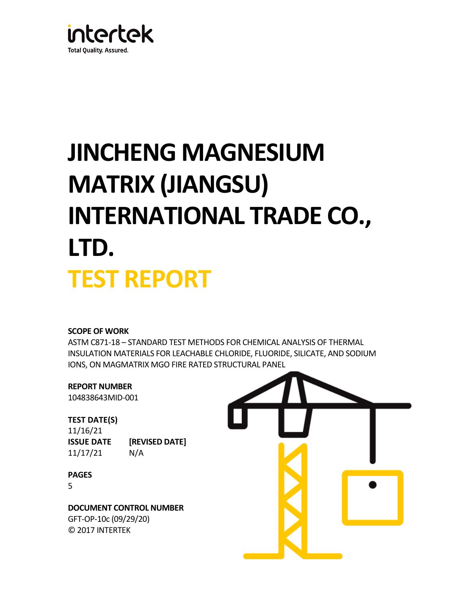

# **JINCHENG MAGNESIUM MATRIX (JIANGSU) INTERNATIONAL TRADE CO., LTD. TEST REPORT**

# **SCOPE OF WORK**

ASTM C871-18 – STANDARD TEST METHODS FOR CHEMICAL ANALYSIS OF THERMAL INSULATION MATERIALS FOR LEACHABLE CHLORIDE, FLUORIDE, SILICATE, AND SODIUM IONS, ON MAGMATRIX MGO FIRE RATED STRUCTURAL PANEL

# **REPORT NUMBER**

104838643MID-001

# **TEST DATE(S)**

11/16/21 **ISSUE DATE [REVISED DATE]** 11/17/21 N/A

# **PAGES**

5

**DOCUMENT CONTROL NUMBER** GFT-OP-10c (09/29/20) © 2017 INTERTEK

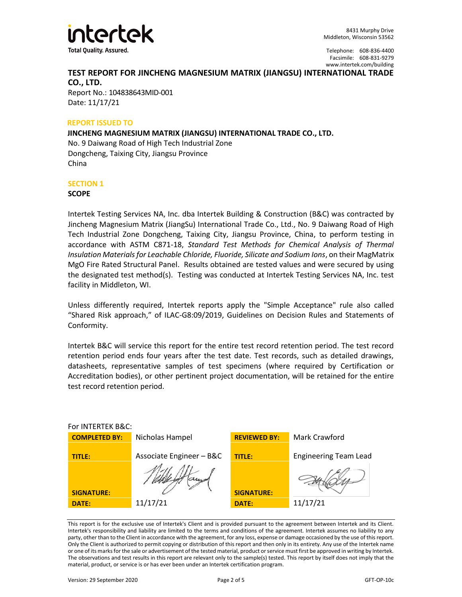

# **TEST REPORT FOR JINCHENG MAGNESIUM MATRIX (JIANGSU) INTERNATIONAL TRADE CO., LTD.**

Report No.: 104838643MID-001 Date: 11/17/21

## **REPORT ISSUED TO**

**JINCHENG MAGNESIUM MATRIX (JIANGSU) INTERNATIONAL TRADE CO., LTD.** No. 9 Daiwang Road of High Tech Industrial Zone Dongcheng, Taixing City, Jiangsu Province China

## **SECTION 1**

## **SCOPE**

Intertek Testing Services NA, Inc. dba Intertek Building & Construction (B&C) was contracted by Jincheng Magnesium Matrix (JiangSu) International Trade Co., Ltd., No. 9 Daiwang Road of High Tech Industrial Zone Dongcheng, Taixing City, Jiangsu Province, China, to perform testing in accordance with ASTM C871-18, *Standard Test Methods for Chemical Analysis of Thermal Insulation Materials for Leachable Chloride, Fluoride, Silicate and Sodium Ions*, on their MagMatrix MgO Fire Rated Structural Panel. Results obtained are tested values and were secured by using the designated test method(s). Testing was conducted at Intertek Testing Services NA, Inc. test facility in Middleton, WI.

Unless differently required, Intertek reports apply the "Simple Acceptance" rule also called "Shared Risk approach," of ILAC-G8:09/2019, Guidelines on Decision Rules and Statements of Conformity.

Intertek B&C will service this report for the entire test record retention period. The test record retention period ends four years after the test date. Test records, such as detailed drawings, datasheets, representative samples of test specimens (where required by Certification or Accreditation bodies), or other pertinent project documentation, will be retained for the entire test record retention period.

| For INTERTEK B&C:    |                          |                     |                              |  |  |
|----------------------|--------------------------|---------------------|------------------------------|--|--|
| <b>COMPLETED BY:</b> | Nicholas Hampel          | <b>REVIEWED BY:</b> | Mark Crawford                |  |  |
| <b>TITLE:</b>        | Associate Engineer - B&C | <b>TITLE:</b>       | <b>Engineering Team Lead</b> |  |  |
| <b>SIGNATURE:</b>    |                          | <b>SIGNATURE:</b>   |                              |  |  |
| DATE:                | 11/17/21                 | DATE:               | 11/17/21                     |  |  |

This report is for the exclusive use of Intertek's Client and is provided pursuant to the agreement between Intertek and its Client. Intertek's responsibility and liability are limited to the terms and conditions of the agreement. Intertek assumes no liability to any party, other than to the Client in accordance with the agreement, for any loss, expense or damage occasioned by the use of this report. Only the Client is authorized to permit copying or distribution of this report and then only in its entirety. Any use of the Intertek name or one of its marks for the sale or advertisement of the tested material, product or service must first be approved in writing by Intertek. The observations and test results in this report are relevant only to the sample(s) tested. This report by itself does not imply that the material, product, or service is or has ever been under an Intertek certification program.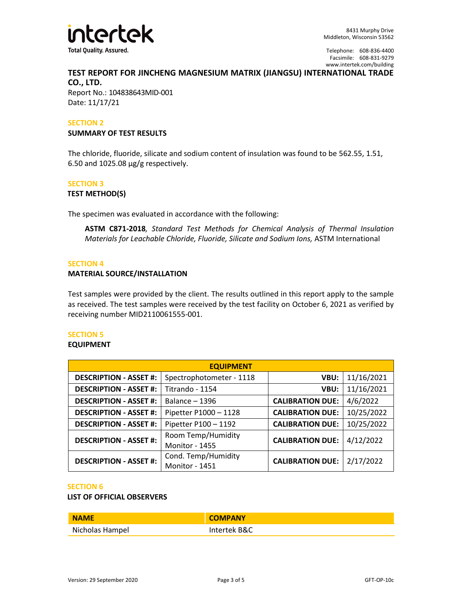

# **TEST REPORT FOR JINCHENG MAGNESIUM MATRIX (JIANGSU) INTERNATIONAL TRADE CO., LTD.**

Report No.: 104838643MID-001 Date: 11/17/21

## **SECTION 2**

#### **SUMMARY OF TEST RESULTS**

The chloride, fluoride, silicate and sodium content of insulation was found to be 562.55, 1.51, 6.50 and 1025.08 µg/g respectively.

## **SECTION 3**

#### **TEST METHOD(S)**

The specimen was evaluated in accordance with the following:

**ASTM C871-2018***, Standard Test Methods for Chemical Analysis of Thermal Insulation Materials for Leachable Chloride, Fluoride, Silicate and Sodium Ions,* ASTM International

#### **SECTION 4**

## **MATERIAL SOURCE/INSTALLATION**

Test samples were provided by the client. The results outlined in this report apply to the sample as received. The test samples were received by the test facility on October 6, 2021 as verified by receiving number MID2110061555-001.

## **SECTION 5**

#### **EQUIPMENT**

| <b>EQUIPMENT</b>                                       |                                             |                         |            |  |  |
|--------------------------------------------------------|---------------------------------------------|-------------------------|------------|--|--|
| <b>DESCRIPTION - ASSET #:</b>                          | Spectrophotometer - 1118<br>VBU:            |                         | 11/16/2021 |  |  |
| <b>DESCRIPTION - ASSET #:</b>                          | Titrando - 1154                             | 11/16/2021<br>VBU:      |            |  |  |
| <b>DESCRIPTION - ASSET #:</b>                          | Balance - 1396<br><b>CALIBRATION DUE:</b>   |                         | 4/6/2022   |  |  |
| <b>DESCRIPTION - ASSET #:</b><br>Pipetter P1000 - 1128 |                                             | <b>CALIBRATION DUE:</b> | 10/25/2022 |  |  |
| <b>DESCRIPTION - ASSET #:</b>                          | Pipetter P100 - 1192                        | <b>CALIBRATION DUE:</b> | 10/25/2022 |  |  |
| <b>DESCRIPTION - ASSET #:</b>                          | Room Temp/Humidity<br><b>Monitor - 1455</b> | <b>CALIBRATION DUE:</b> | 4/12/2022  |  |  |
| <b>DESCRIPTION - ASSET #:</b>                          | Cond. Temp/Humidity<br>Monitor - 1451       | <b>CALIBRATION DUE:</b> | 2/17/2022  |  |  |

#### **SECTION 6**

## **LIST OF OFFICIAL OBSERVERS**

| <b>NAME</b>     | <b>COMPANY</b> |
|-----------------|----------------|
| Nicholas Hampel | Intertek B&C   |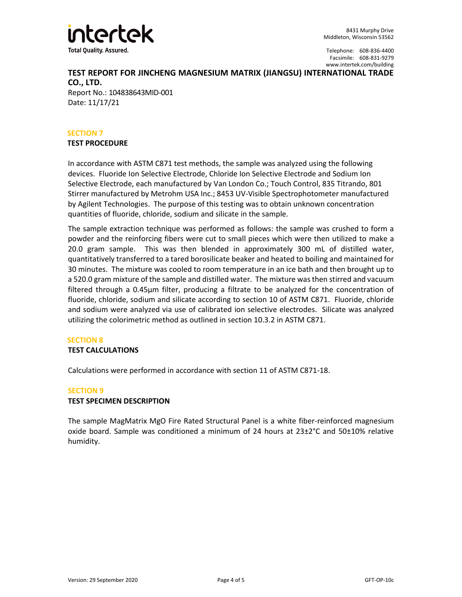

# **TEST REPORT FOR JINCHENG MAGNESIUM MATRIX (JIANGSU) INTERNATIONAL TRADE CO., LTD.**

Report No.: 104838643MID-001 Date: 11/17/21

# **SECTION 7**

## **TEST PROCEDURE**

In accordance with ASTM C871 test methods, the sample was analyzed using the following devices. Fluoride Ion Selective Electrode, Chloride Ion Selective Electrode and Sodium Ion Selective Electrode, each manufactured by Van London Co.; Touch Control, 835 Titrando, 801 Stirrer manufactured by Metrohm USA Inc.; 8453 UV-Visible Spectrophotometer manufactured by Agilent Technologies. The purpose of this testing was to obtain unknown concentration quantities of fluoride, chloride, sodium and silicate in the sample.

The sample extraction technique was performed as follows: the sample was crushed to form a powder and the reinforcing fibers were cut to small pieces which were then utilized to make a 20.0 gram sample. This was then blended in approximately 300 mL of distilled water, quantitatively transferred to a tared borosilicate beaker and heated to boiling and maintained for 30 minutes. The mixture was cooled to room temperature in an ice bath and then brought up to a 520.0 gram mixture of the sample and distilled water. The mixture was then stirred and vacuum filtered through a 0.45µm filter, producing a filtrate to be analyzed for the concentration of fluoride, chloride, sodium and silicate according to section 10 of ASTM C871. Fluoride, chloride and sodium were analyzed via use of calibrated ion selective electrodes. Silicate was analyzed utilizing the colorimetric method as outlined in section 10.3.2 in ASTM C871.

## **SECTION 8**

# **TEST CALCULATIONS**

Calculations were performed in accordance with section 11 of ASTM C871-18.

## **SECTION 9**

## **TEST SPECIMEN DESCRIPTION**

The sample MagMatrix MgO Fire Rated Structural Panel is a white fiber-reinforced magnesium oxide board. Sample was conditioned a minimum of 24 hours at  $23\pm2\degree$ C and  $50\pm10\%$  relative humidity.